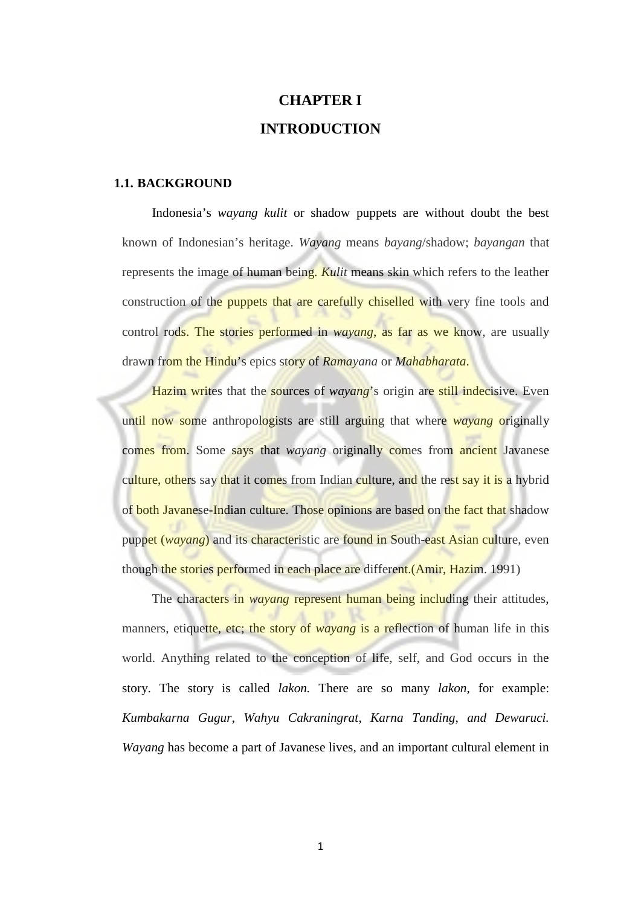# **CHAPTER I INTRODUCTION**

#### **1.1. BACKGROUND**

Indonesia's *wayang kulit* or shadow puppets are without doubt the best known of Indonesian's heritage. *Wayang* means *bayang*/shadow; *bayangan* that represents the image of human being. *Kulit* means skin which refers to the leather construction of the puppets that are carefully chiselled with very fine tools and control rods. The stories performed in *wayang*, as far as we know, are usually drawn from the Hindu's epics story of *Ramayana* or *Mahabharata*.

Hazim writes that the **sources** of *wayang*'s origin are still indecisive. Even until now some anthropologists are still arguing that where *wayang* originally comes from. Some says that *wayang* originally comes from ancient Javanese culture, others say that it comes from Indian culture, and the rest say it is a hybrid of both Javanese-Indian culture. Those opinions are based on the fact that shadow puppet (*wayang*) and its characteristic are found in South-east Asian culture, even though the stories performed in each place are different. (Amir, Hazim. 1991)

The characters in *wayang* represent human being including their attitudes, manners, etiquette, etc; the story of *wayang* is a reflection of human life in this world. Anything related to the conception of life, self, and God occurs in the story. The story is called *lakon.* There are so many *lakon*, for example: *Kumbakarna Gugur*, *Wahyu Cakraningrat*, *Karna Tanding*, *and Dewaruci. Wayang* has become a part of Javanese lives, and an important cultural element in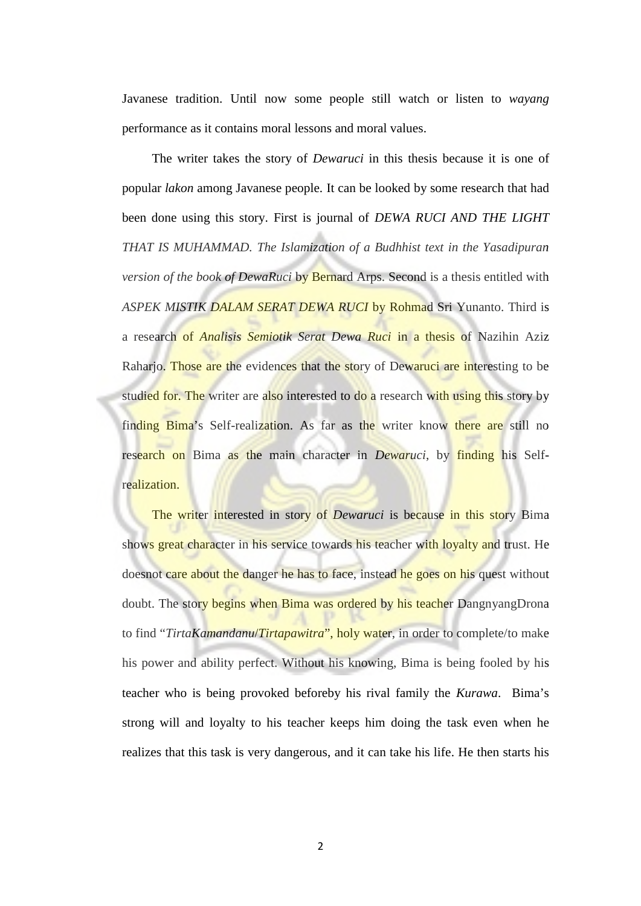Javanese tradition. Until now some people still watch or listen to *wayang* performance as it contains moral lessons and moral values.

The writer takes the story of *Dewaruci* in this thesis because it is one of popular *lakon* among Javanese people. It can be looked by some research that had been done using this story. First is journal of *DEWA RUCI AND THE LIGHT THAT IS MUHAMMAD. The Islamization of a Budhhist text in the Yasadipuran version of the book of DewaRuci* by Bernard Arps. Second is a thesis entitled with *ASPEK MISTIK DALAM SERAT DEWA RUCI* by Rohmad Sri Yunanto. Third is a research of *Analisis Semiotik Serat Dewa Ruci* in a thesis of Nazihin Aziz Raharjo. Those are the evidences that the story of Dewaruci are interesting to be studied for. The writer are also interested to do a research with using this story by finding Bima's Self-realization. As far as the writer know there are still no research on Bima as the main character in *Dewaruci*, by finding his Selfrealization.

The writer interested in story of *Dewaruci* is because in this story Bima shows great character in his service towards his teacher with loyalty and trust. He doesnot care about the danger he has to face, instead he goes on his quest without doubt. The story begins when Bima was ordered by his teacher DangnyangDrona to find "*TirtaKamandanu*/*Tirtapawitra*", holy water, in order to complete/to make his power and ability perfect. Without his knowing, Bima is being fooled by his teacher who is being provoked beforeby his rival family the *Kurawa*. Bima's strong will and loyalty to his teacher keeps him doing the task even when he realizes that this task is very dangerous, and it can take his life. He then starts his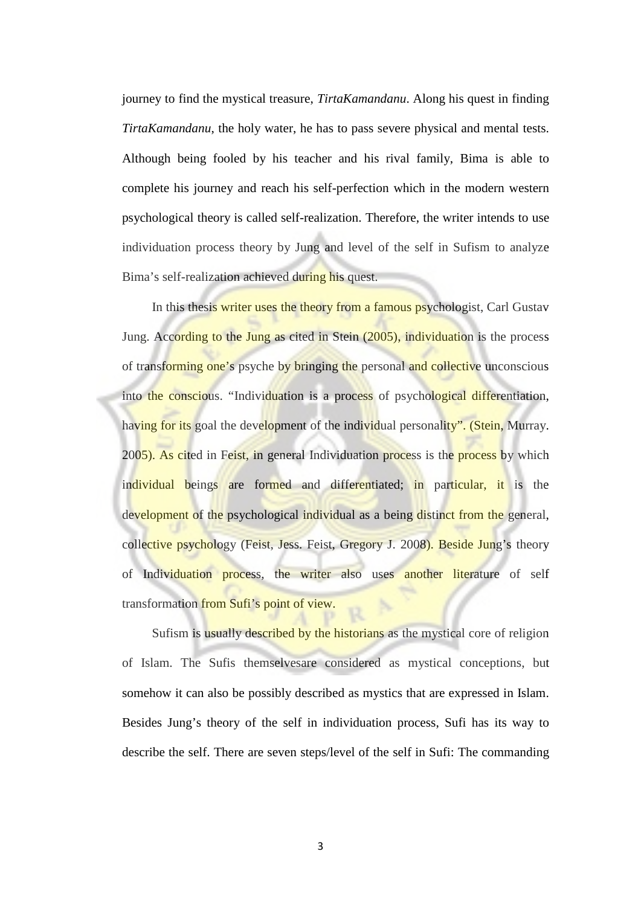journey to find the mystical treasure, *TirtaKamandanu*. Along his quest in finding *TirtaKamandanu*, the holy water, he has to pass severe physical and mental tests. Although being fooled by his teacher and his rival family, Bima is able to complete his journey and reach his self-perfection which in the modern western psychological theory is called self-realization. Therefore, the writer intends to use individuation process theory by Jung and level of the self in Sufism to analyze Bima's self-realization achieved during his quest.

In this thesis writer uses the theory from a famous psychologist, Carl Gustav Jung. According to the Jung as cited in Stein (2005), individuation is the process of transforming one's psyche by bringing the personal and collective unconscious into the conscious. "Individuation is a process of psychological differentiation, having for its goal the development of the individual personality". (Stein, Murray. 2005). As cited in Feist, in general Individuation process is the process by which individual beings are formed and differentiated; in particular, it is the development of the psychological individual as a being distinct from the general, collective psychology (Feist, Jess. Feist, Gregory J. 2008). Beside Jung's theory of Individuation process, the writer also uses another literature of self transformation from Sufi's point of view.

Sufism is usually described by the historians as the mystical core of religion of Islam. The Sufis themselvesare considered as mystical conceptions, but somehow it can also be possibly described as mystics that are expressed in Islam. Besides Jung's theory of the self in individuation process, Sufi has its way to describe the self. There are seven steps/level of the self in Sufi: The commanding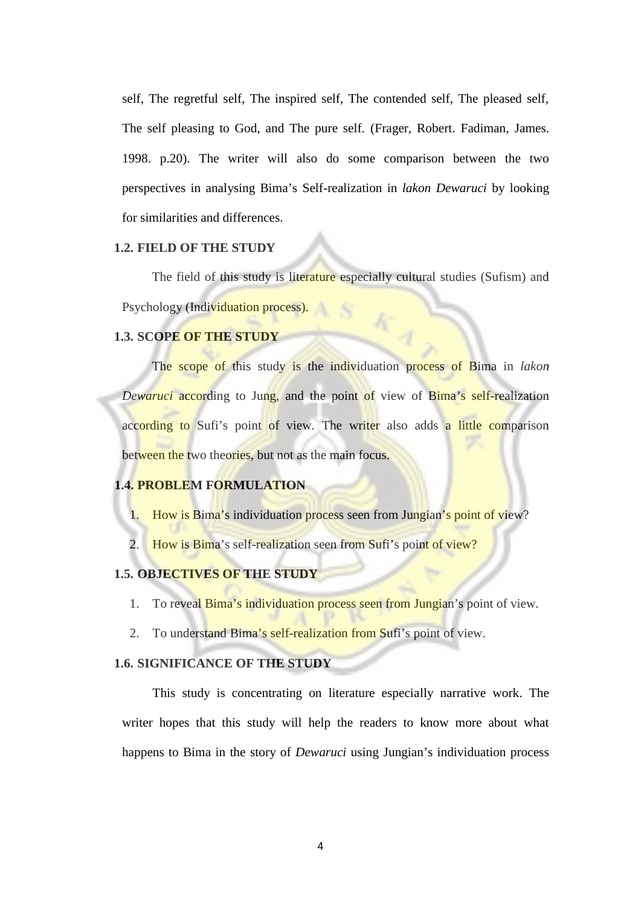self, The regretful self, The inspired self, The contended self, The pleased self, The self pleasing to God, and The pure self. (Frager, Robert. Fadiman, James. 1998. p.20). The writer will also do some comparison between the two perspectives in analysing Bima's Self-realization in *lakon Dewaruci* by looking for similarities and differences.

### **1.2. FIELD OF THE STUDY**

The field of this study is literature especially cultural studies (Sufism) and Psychology (Individuation process).

# **1.3. SCOPE OF THE STUDY**

The scope of this study is the individuation process of Bima in *lakon Dewaruci* according to Jung, and the point of view of Bima's self-realization according to Sufi's point of view. The writer also adds a little comparison between the two theories, but not as the main focus.

#### **1.4. PROBLEM FORMULATION**

- 1. How is Bima's individuation process seen from Jungian's point of view?
- 2. How is Bima's self-realization seen from Sufi's point of view?

#### **1.5. OBJECTIVES OF THE STUDY**

- 1. To reveal Bima's individuation process seen from Jungian's point of view.
- 2. To understand Bima's self-realization from Sufi's point of view.

# **1.6. SIGNIFICANCE OF THE STUDY**

This study is concentrating on literature especially narrative work. The writer hopes that this study will help the readers to know more about what happens to Bima in the story of *Dewaruci* using Jungian's individuation process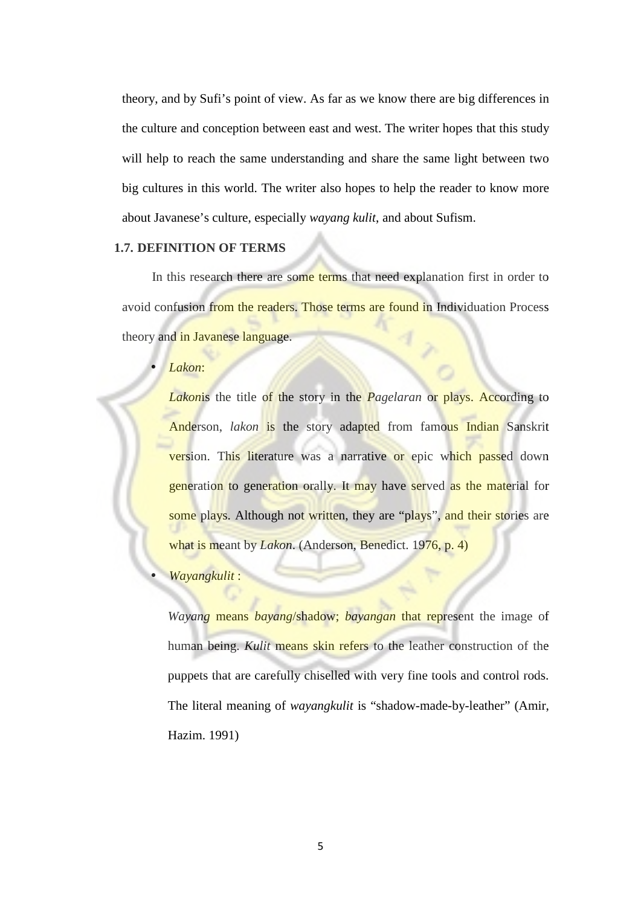theory, and by Sufi's point of view. As far as we know there are big differences in the culture and conception between east and west. The writer hopes that this study will help to reach the same understanding and share the same light between two big cultures in this world. The writer also hopes to help the reader to know more about Javanese's culture, especially *wayang kulit*, and about Sufism.

# **1.7. DEFINITION OF TERMS**

In this research there are some terms that need explanation first in order to avoid confusion from the readers. Those terms are found in Individuation Process theory and in Javanese language.

*Lakon*:

*Lakon*is the title of the story in the *Pagelaran* or plays. According to Anderson, *lakon* is the story adapted from famous Indian Sanskrit version. This literature was a narrative or epic which passed down generation to generation orally. It may have served as the material for some plays. Although not written, they are "plays", and their stories are what is meant by *Lakon*. (Anderson, Benedict. 1976, p. 4)

#### *Wayangkulit* :

*Wayang* means *bayang*/shadow; *bayangan* that represent the image of human being. *Kulit* means skin refers to the leather construction of the puppets that are carefully chiselled with very fine tools and control rods. The literal meaning of *wayangkulit* is "shadow-made-by-leather" (Amir, Hazim. 1991)